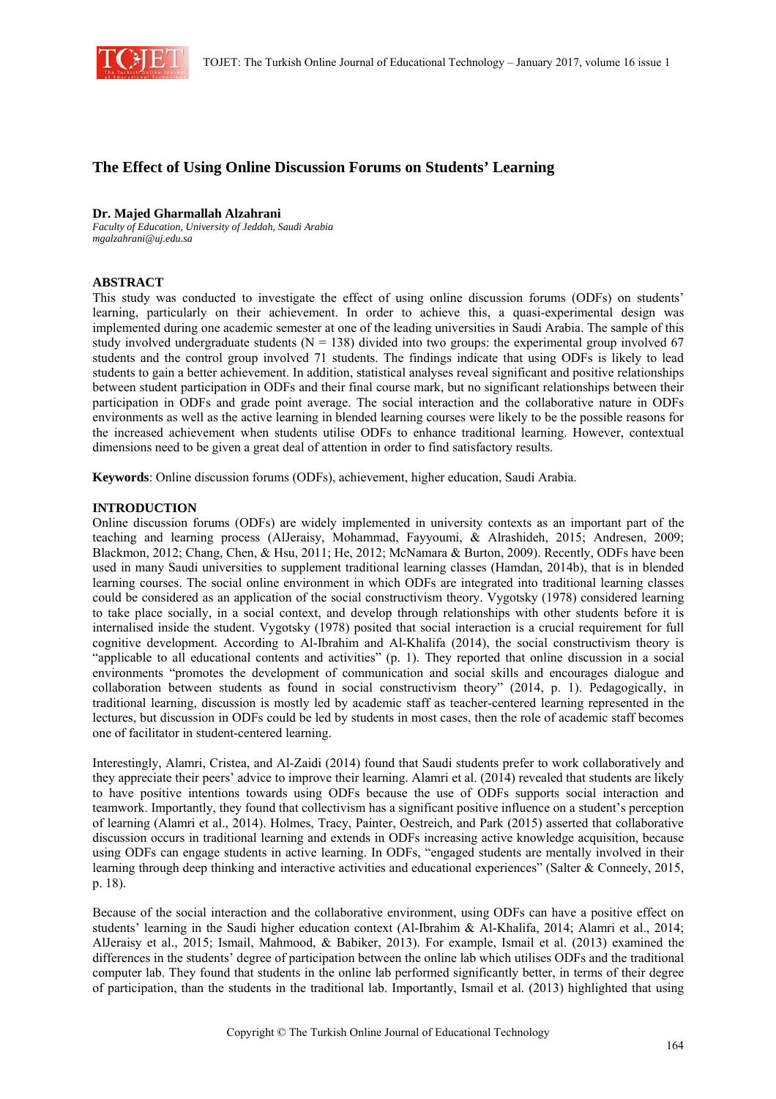

# **The Effect of Using Online Discussion Forums on Students' Learning**

#### **Dr. Majed Gharmallah Alzahrani**

*Faculty of Education, University of Jeddah, Saudi Arabia mgalzahrani@uj.edu.sa*

## **ABSTRACT**

This study was conducted to investigate the effect of using online discussion forums (ODFs) on students' learning, particularly on their achievement. In order to achieve this, a quasi-experimental design was implemented during one academic semester at one of the leading universities in Saudi Arabia. The sample of this study involved undergraduate students ( $N = 138$ ) divided into two groups: the experimental group involved 67 students and the control group involved 71 students. The findings indicate that using ODFs is likely to lead students to gain a better achievement. In addition, statistical analyses reveal significant and positive relationships between student participation in ODFs and their final course mark, but no significant relationships between their participation in ODFs and grade point average. The social interaction and the collaborative nature in ODFs environments as well as the active learning in blended learning courses were likely to be the possible reasons for the increased achievement when students utilise ODFs to enhance traditional learning. However, contextual dimensions need to be given a great deal of attention in order to find satisfactory results.

**Keywords**: Online discussion forums (ODFs), achievement, higher education, Saudi Arabia.

#### **INTRODUCTION**

Online discussion forums (ODFs) are widely implemented in university contexts as an important part of the teaching and learning process (AlJeraisy, Mohammad, Fayyoumi, & Alrashideh, 2015; Andresen, 2009; Blackmon, 2012; Chang, Chen, & Hsu, 2011; He, 2012; McNamara & Burton, 2009). Recently, ODFs have been used in many Saudi universities to supplement traditional learning classes (Hamdan, 2014b), that is in blended learning courses. The social online environment in which ODFs are integrated into traditional learning classes could be considered as an application of the social constructivism theory. Vygotsky (1978) considered learning to take place socially, in a social context, and develop through relationships with other students before it is internalised inside the student. Vygotsky (1978) posited that social interaction is a crucial requirement for full cognitive development. According to Al-Ibrahim and Al-Khalifa (2014), the social constructivism theory is "applicable to all educational contents and activities" (p. 1). They reported that online discussion in a social environments "promotes the development of communication and social skills and encourages dialogue and collaboration between students as found in social constructivism theory" (2014, p. 1). Pedagogically, in traditional learning, discussion is mostly led by academic staff as teacher-centered learning represented in the lectures, but discussion in ODFs could be led by students in most cases, then the role of academic staff becomes one of facilitator in student-centered learning.

Interestingly, Alamri, Cristea, and Al-Zaidi (2014) found that Saudi students prefer to work collaboratively and they appreciate their peers' advice to improve their learning. Alamri et al. (2014) revealed that students are likely to have positive intentions towards using ODFs because the use of ODFs supports social interaction and teamwork. Importantly, they found that collectivism has a significant positive influence on a student's perception of learning (Alamri et al., 2014). Holmes, Tracy, Painter, Oestreich, and Park (2015) asserted that collaborative discussion occurs in traditional learning and extends in ODFs increasing active knowledge acquisition, because using ODFs can engage students in active learning. In ODFs, "engaged students are mentally involved in their learning through deep thinking and interactive activities and educational experiences" (Salter & Conneely, 2015, p. 18).

Because of the social interaction and the collaborative environment, using ODFs can have a positive effect on students' learning in the Saudi higher education context (Al-Ibrahim & Al-Khalifa, 2014; Alamri et al., 2014; AlJeraisy et al., 2015; Ismail, Mahmood, & Babiker, 2013). For example, Ismail et al. (2013) examined the differences in the students' degree of participation between the online lab which utilises ODFs and the traditional computer lab. They found that students in the online lab performed significantly better, in terms of their degree of participation, than the students in the traditional lab. Importantly, Ismail et al. (2013) highlighted that using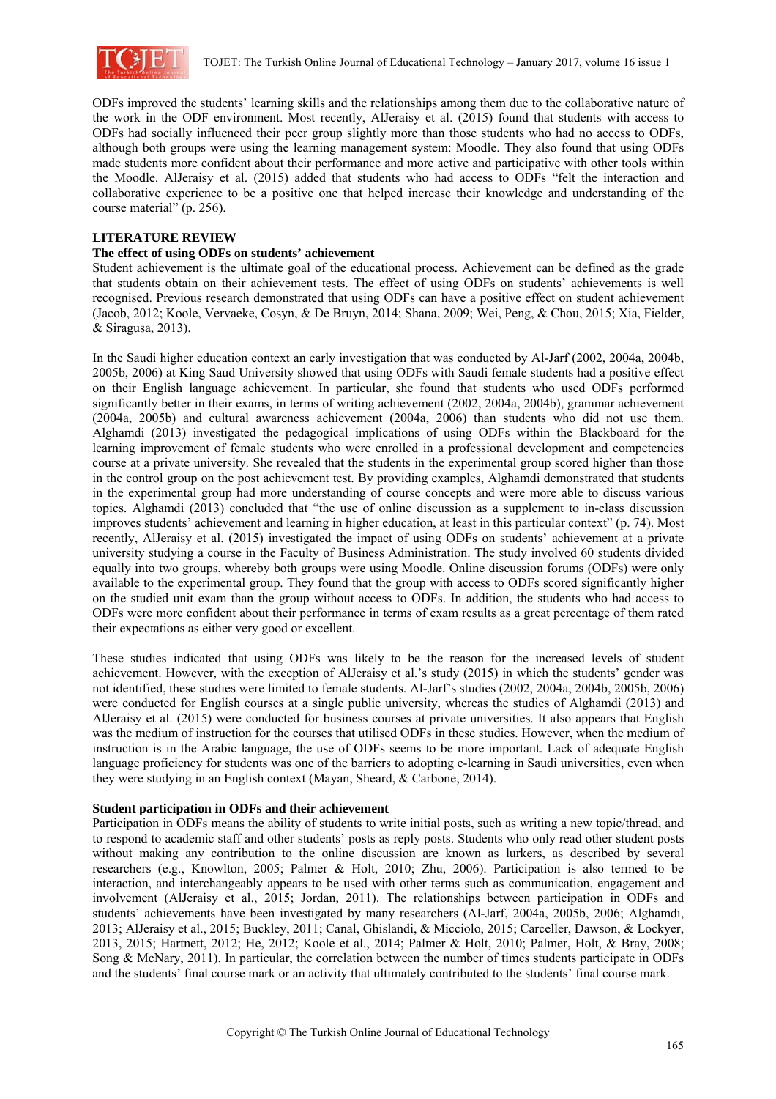

ODFs improved the students' learning skills and the relationships among them due to the collaborative nature of the work in the ODF environment. Most recently, AlJeraisy et al. (2015) found that students with access to ODFs had socially influenced their peer group slightly more than those students who had no access to ODFs, although both groups were using the learning management system: Moodle. They also found that using ODFs made students more confident about their performance and more active and participative with other tools within the Moodle. AlJeraisy et al. (2015) added that students who had access to ODFs "felt the interaction and collaborative experience to be a positive one that helped increase their knowledge and understanding of the course material" (p. 256).

#### **LITERATURE REVIEW**

#### **The effect of using ODFs on students' achievement**

Student achievement is the ultimate goal of the educational process. Achievement can be defined as the grade that students obtain on their achievement tests. The effect of using ODFs on students' achievements is well recognised. Previous research demonstrated that using ODFs can have a positive effect on student achievement (Jacob, 2012; Koole, Vervaeke, Cosyn, & De Bruyn, 2014; Shana, 2009; Wei, Peng, & Chou, 2015; Xia, Fielder, & Siragusa, 2013).

In the Saudi higher education context an early investigation that was conducted by Al-Jarf (2002, 2004a, 2004b, 2005b, 2006) at King Saud University showed that using ODFs with Saudi female students had a positive effect on their English language achievement. In particular, she found that students who used ODFs performed significantly better in their exams, in terms of writing achievement (2002, 2004a, 2004b), grammar achievement (2004a, 2005b) and cultural awareness achievement (2004a, 2006) than students who did not use them. Alghamdi (2013) investigated the pedagogical implications of using ODFs within the Blackboard for the learning improvement of female students who were enrolled in a professional development and competencies course at a private university. She revealed that the students in the experimental group scored higher than those in the control group on the post achievement test. By providing examples, Alghamdi demonstrated that students in the experimental group had more understanding of course concepts and were more able to discuss various topics. Alghamdi (2013) concluded that "the use of online discussion as a supplement to in-class discussion improves students' achievement and learning in higher education, at least in this particular context" (p. 74). Most recently, AlJeraisy et al. (2015) investigated the impact of using ODFs on students' achievement at a private university studying a course in the Faculty of Business Administration. The study involved 60 students divided equally into two groups, whereby both groups were using Moodle. Online discussion forums (ODFs) were only available to the experimental group. They found that the group with access to ODFs scored significantly higher on the studied unit exam than the group without access to ODFs. In addition, the students who had access to ODFs were more confident about their performance in terms of exam results as a great percentage of them rated their expectations as either very good or excellent.

These studies indicated that using ODFs was likely to be the reason for the increased levels of student achievement. However, with the exception of AlJeraisy et al.'s study (2015) in which the students' gender was not identified, these studies were limited to female students. Al-Jarf's studies (2002, 2004a, 2004b, 2005b, 2006) were conducted for English courses at a single public university, whereas the studies of Alghamdi (2013) and AlJeraisy et al. (2015) were conducted for business courses at private universities. It also appears that English was the medium of instruction for the courses that utilised ODFs in these studies. However, when the medium of instruction is in the Arabic language, the use of ODFs seems to be more important. Lack of adequate English language proficiency for students was one of the barriers to adopting e-learning in Saudi universities, even when they were studying in an English context (Mayan, Sheard, & Carbone, 2014).

## **Student participation in ODFs and their achievement**

Participation in ODFs means the ability of students to write initial posts, such as writing a new topic/thread, and to respond to academic staff and other students' posts as reply posts. Students who only read other student posts without making any contribution to the online discussion are known as lurkers, as described by several researchers (e.g., Knowlton, 2005; Palmer & Holt, 2010; Zhu, 2006). Participation is also termed to be interaction, and interchangeably appears to be used with other terms such as communication, engagement and involvement (AlJeraisy et al., 2015; Jordan, 2011). The relationships between participation in ODFs and students' achievements have been investigated by many researchers (Al-Jarf, 2004a, 2005b, 2006; Alghamdi, 2013; AlJeraisy et al., 2015; Buckley, 2011; Canal, Ghislandi, & Micciolo, 2015; Carceller, Dawson, & Lockyer, 2013, 2015; Hartnett, 2012; He, 2012; Koole et al., 2014; Palmer & Holt, 2010; Palmer, Holt, & Bray, 2008; Song & McNary, 2011). In particular, the correlation between the number of times students participate in ODFs and the students' final course mark or an activity that ultimately contributed to the students' final course mark.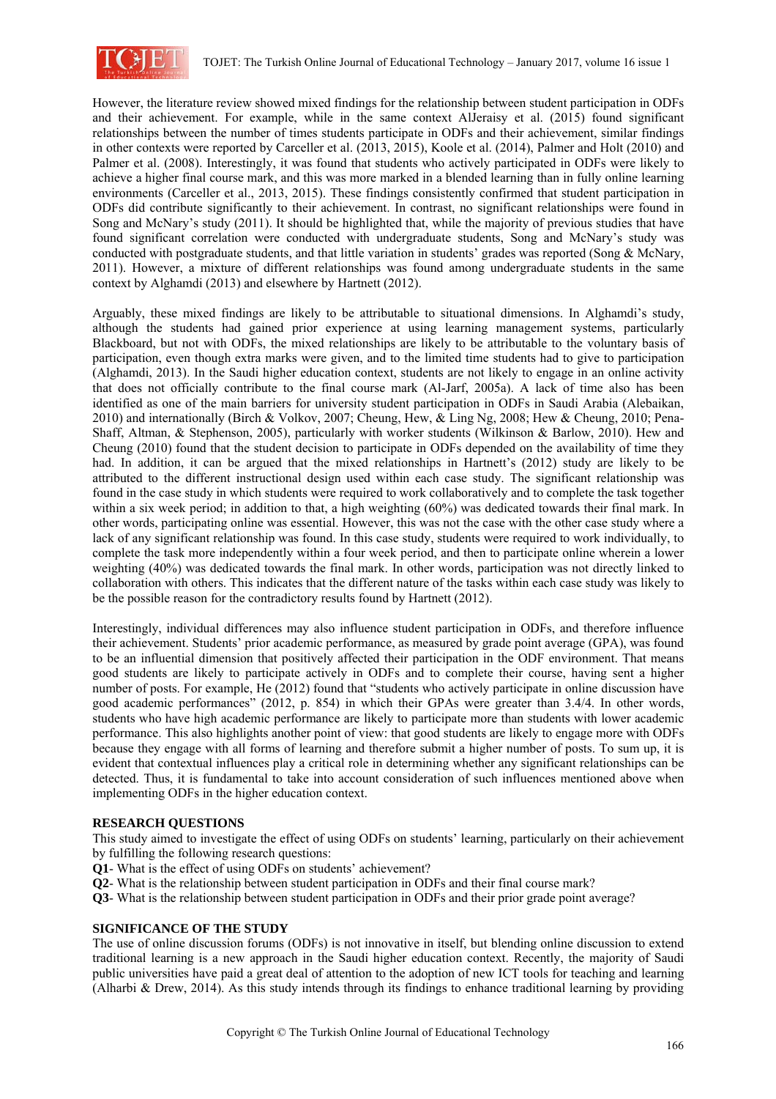

However, the literature review showed mixed findings for the relationship between student participation in ODFs and their achievement. For example, while in the same context AlJeraisy et al. (2015) found significant relationships between the number of times students participate in ODFs and their achievement, similar findings in other contexts were reported by Carceller et al. (2013, 2015), Koole et al. (2014), Palmer and Holt (2010) and Palmer et al. (2008). Interestingly, it was found that students who actively participated in ODFs were likely to achieve a higher final course mark, and this was more marked in a blended learning than in fully online learning environments (Carceller et al., 2013, 2015). These findings consistently confirmed that student participation in ODFs did contribute significantly to their achievement. In contrast, no significant relationships were found in Song and McNary's study (2011). It should be highlighted that, while the majority of previous studies that have found significant correlation were conducted with undergraduate students, Song and McNary's study was conducted with postgraduate students, and that little variation in students' grades was reported (Song & McNary, 2011). However, a mixture of different relationships was found among undergraduate students in the same context by Alghamdi (2013) and elsewhere by Hartnett (2012).

Arguably, these mixed findings are likely to be attributable to situational dimensions. In Alghamdi's study, although the students had gained prior experience at using learning management systems, particularly Blackboard, but not with ODFs, the mixed relationships are likely to be attributable to the voluntary basis of participation, even though extra marks were given, and to the limited time students had to give to participation (Alghamdi, 2013). In the Saudi higher education context, students are not likely to engage in an online activity that does not officially contribute to the final course mark (Al-Jarf, 2005a). A lack of time also has been identified as one of the main barriers for university student participation in ODFs in Saudi Arabia (Alebaikan, 2010) and internationally (Birch & Volkov, 2007; Cheung, Hew, & Ling Ng, 2008; Hew & Cheung, 2010; Pena-Shaff, Altman, & Stephenson, 2005), particularly with worker students (Wilkinson & Barlow, 2010). Hew and Cheung (2010) found that the student decision to participate in ODFs depended on the availability of time they had. In addition, it can be argued that the mixed relationships in Hartnett's (2012) study are likely to be attributed to the different instructional design used within each case study. The significant relationship was found in the case study in which students were required to work collaboratively and to complete the task together within a six week period; in addition to that, a high weighting (60%) was dedicated towards their final mark. In other words, participating online was essential. However, this was not the case with the other case study where a lack of any significant relationship was found. In this case study, students were required to work individually, to complete the task more independently within a four week period, and then to participate online wherein a lower weighting (40%) was dedicated towards the final mark. In other words, participation was not directly linked to collaboration with others. This indicates that the different nature of the tasks within each case study was likely to be the possible reason for the contradictory results found by Hartnett (2012).

Interestingly, individual differences may also influence student participation in ODFs, and therefore influence their achievement. Students' prior academic performance, as measured by grade point average (GPA), was found to be an influential dimension that positively affected their participation in the ODF environment. That means good students are likely to participate actively in ODFs and to complete their course, having sent a higher number of posts. For example, He (2012) found that "students who actively participate in online discussion have good academic performances" (2012, p. 854) in which their GPAs were greater than 3.4/4. In other words, students who have high academic performance are likely to participate more than students with lower academic performance. This also highlights another point of view: that good students are likely to engage more with ODFs because they engage with all forms of learning and therefore submit a higher number of posts. To sum up, it is evident that contextual influences play a critical role in determining whether any significant relationships can be detected. Thus, it is fundamental to take into account consideration of such influences mentioned above when implementing ODFs in the higher education context.

## **RESEARCH QUESTIONS**

This study aimed to investigate the effect of using ODFs on students' learning, particularly on their achievement by fulfilling the following research questions:

- **Q1** What is the effect of using ODFs on students' achievement?
- **Q2** What is the relationship between student participation in ODFs and their final course mark?
- **Q3** What is the relationship between student participation in ODFs and their prior grade point average?

## **SIGNIFICANCE OF THE STUDY**

The use of online discussion forums (ODFs) is not innovative in itself, but blending online discussion to extend traditional learning is a new approach in the Saudi higher education context. Recently, the majority of Saudi public universities have paid a great deal of attention to the adoption of new ICT tools for teaching and learning (Alharbi & Drew, 2014). As this study intends through its findings to enhance traditional learning by providing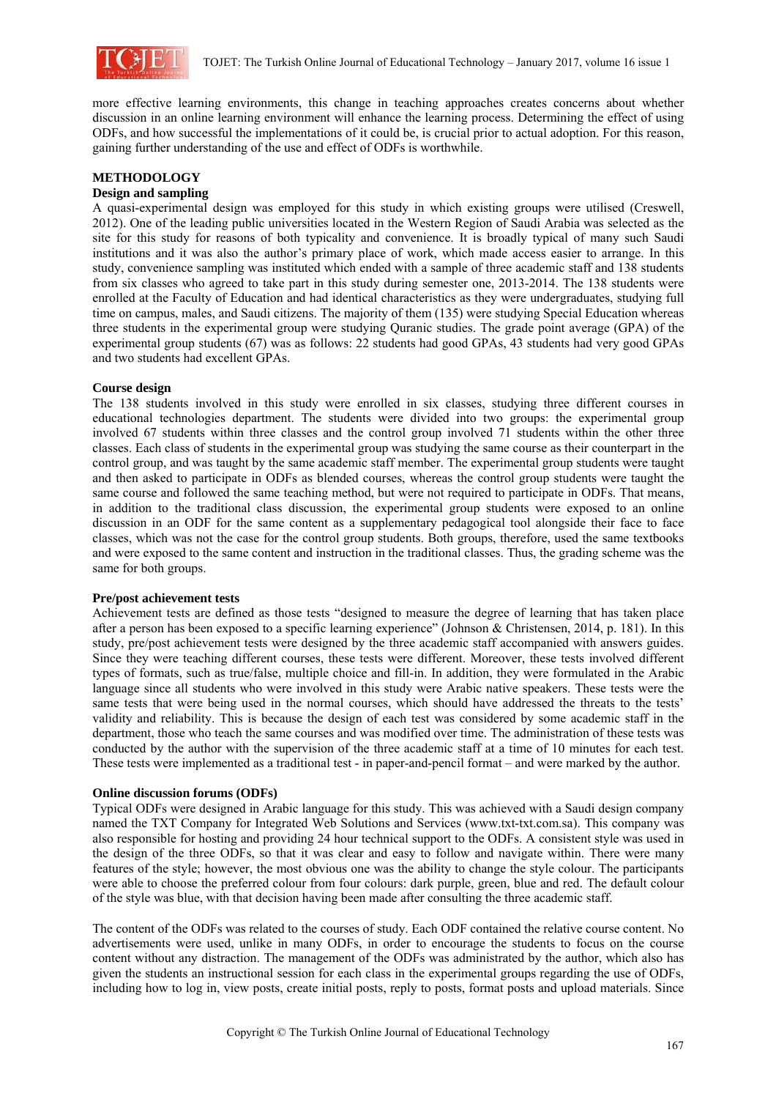

more effective learning environments, this change in teaching approaches creates concerns about whether discussion in an online learning environment will enhance the learning process. Determining the effect of using ODFs, and how successful the implementations of it could be, is crucial prior to actual adoption. For this reason, gaining further understanding of the use and effect of ODFs is worthwhile.

## **METHODOLOGY**

## **Design and sampling**

A quasi-experimental design was employed for this study in which existing groups were utilised (Creswell, 2012). One of the leading public universities located in the Western Region of Saudi Arabia was selected as the site for this study for reasons of both typicality and convenience. It is broadly typical of many such Saudi institutions and it was also the author's primary place of work, which made access easier to arrange. In this study, convenience sampling was instituted which ended with a sample of three academic staff and 138 students from six classes who agreed to take part in this study during semester one, 2013-2014. The 138 students were enrolled at the Faculty of Education and had identical characteristics as they were undergraduates, studying full time on campus, males, and Saudi citizens. The majority of them (135) were studying Special Education whereas three students in the experimental group were studying Quranic studies. The grade point average (GPA) of the experimental group students (67) was as follows: 22 students had good GPAs, 43 students had very good GPAs and two students had excellent GPAs.

#### **Course design**

The 138 students involved in this study were enrolled in six classes, studying three different courses in educational technologies department. The students were divided into two groups: the experimental group involved 67 students within three classes and the control group involved 71 students within the other three classes. Each class of students in the experimental group was studying the same course as their counterpart in the control group, and was taught by the same academic staff member. The experimental group students were taught and then asked to participate in ODFs as blended courses, whereas the control group students were taught the same course and followed the same teaching method, but were not required to participate in ODFs. That means, in addition to the traditional class discussion, the experimental group students were exposed to an online discussion in an ODF for the same content as a supplementary pedagogical tool alongside their face to face classes, which was not the case for the control group students. Both groups, therefore, used the same textbooks and were exposed to the same content and instruction in the traditional classes. Thus, the grading scheme was the same for both groups.

#### **Pre/post achievement tests**

Achievement tests are defined as those tests "designed to measure the degree of learning that has taken place after a person has been exposed to a specific learning experience" (Johnson & Christensen, 2014, p. 181). In this study, pre/post achievement tests were designed by the three academic staff accompanied with answers guides. Since they were teaching different courses, these tests were different. Moreover, these tests involved different types of formats, such as true/false, multiple choice and fill-in. In addition, they were formulated in the Arabic language since all students who were involved in this study were Arabic native speakers. These tests were the same tests that were being used in the normal courses, which should have addressed the threats to the tests' validity and reliability. This is because the design of each test was considered by some academic staff in the department, those who teach the same courses and was modified over time. The administration of these tests was conducted by the author with the supervision of the three academic staff at a time of 10 minutes for each test. These tests were implemented as a traditional test - in paper-and-pencil format – and were marked by the author.

## **Online discussion forums (ODFs)**

Typical ODFs were designed in Arabic language for this study. This was achieved with a Saudi design company named the TXT Company for Integrated Web Solutions and Services (www.txt-txt.com.sa). This company was also responsible for hosting and providing 24 hour technical support to the ODFs. A consistent style was used in the design of the three ODFs, so that it was clear and easy to follow and navigate within. There were many features of the style; however, the most obvious one was the ability to change the style colour. The participants were able to choose the preferred colour from four colours: dark purple, green, blue and red. The default colour of the style was blue, with that decision having been made after consulting the three academic staff.

The content of the ODFs was related to the courses of study. Each ODF contained the relative course content. No advertisements were used, unlike in many ODFs, in order to encourage the students to focus on the course content without any distraction. The management of the ODFs was administrated by the author, which also has given the students an instructional session for each class in the experimental groups regarding the use of ODFs, including how to log in, view posts, create initial posts, reply to posts, format posts and upload materials. Since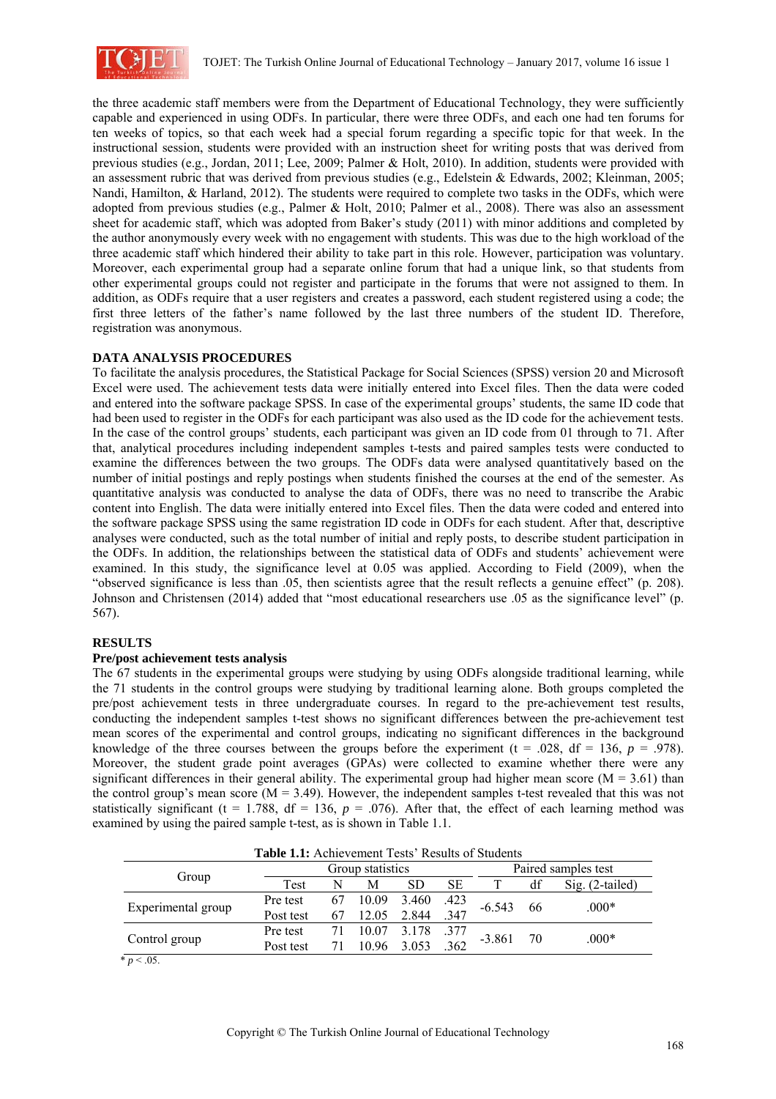

the three academic staff members were from the Department of Educational Technology, they were sufficiently capable and experienced in using ODFs. In particular, there were three ODFs, and each one had ten forums for ten weeks of topics, so that each week had a special forum regarding a specific topic for that week. In the instructional session, students were provided with an instruction sheet for writing posts that was derived from previous studies (e.g., Jordan, 2011; Lee, 2009; Palmer & Holt, 2010). In addition, students were provided with an assessment rubric that was derived from previous studies (e.g., Edelstein & Edwards, 2002; Kleinman, 2005; Nandi, Hamilton, & Harland, 2012). The students were required to complete two tasks in the ODFs, which were adopted from previous studies (e.g., Palmer & Holt, 2010; Palmer et al., 2008). There was also an assessment sheet for academic staff, which was adopted from Baker's study (2011) with minor additions and completed by the author anonymously every week with no engagement with students. This was due to the high workload of the three academic staff which hindered their ability to take part in this role. However, participation was voluntary. Moreover, each experimental group had a separate online forum that had a unique link, so that students from other experimental groups could not register and participate in the forums that were not assigned to them. In addition, as ODFs require that a user registers and creates a password, each student registered using a code; the first three letters of the father's name followed by the last three numbers of the student ID. Therefore, registration was anonymous.

## **DATA ANALYSIS PROCEDURES**

To facilitate the analysis procedures, the Statistical Package for Social Sciences (SPSS) version 20 and Microsoft Excel were used. The achievement tests data were initially entered into Excel files. Then the data were coded and entered into the software package SPSS. In case of the experimental groups' students, the same ID code that had been used to register in the ODFs for each participant was also used as the ID code for the achievement tests. In the case of the control groups' students, each participant was given an ID code from 01 through to 71. After that, analytical procedures including independent samples t-tests and paired samples tests were conducted to examine the differences between the two groups. The ODFs data were analysed quantitatively based on the number of initial postings and reply postings when students finished the courses at the end of the semester. As quantitative analysis was conducted to analyse the data of ODFs, there was no need to transcribe the Arabic content into English. The data were initially entered into Excel files. Then the data were coded and entered into the software package SPSS using the same registration ID code in ODFs for each student. After that, descriptive analyses were conducted, such as the total number of initial and reply posts, to describe student participation in the ODFs. In addition, the relationships between the statistical data of ODFs and students' achievement were examined. In this study, the significance level at 0.05 was applied. According to Field (2009), when the "observed significance is less than .05, then scientists agree that the result reflects a genuine effect" (p. 208). Johnson and Christensen (2014) added that "most educational researchers use .05 as the significance level" (p. 567).

## **RESULTS**

#### **Pre/post achievement tests analysis**

The 67 students in the experimental groups were studying by using ODFs alongside traditional learning, while the 71 students in the control groups were studying by traditional learning alone. Both groups completed the pre/post achievement tests in three undergraduate courses. In regard to the pre-achievement test results, conducting the independent samples t-test shows no significant differences between the pre-achievement test mean scores of the experimental and control groups, indicating no significant differences in the background knowledge of the three courses between the groups before the experiment (t = .028, df = 136,  $p = .978$ ). Moreover, the student grade point averages (GPAs) were collected to examine whether there were any significant differences in their general ability. The experimental group had higher mean score ( $M = 3.61$ ) than the control group's mean score  $(M = 3.49)$ . However, the independent samples t-test revealed that this was not statistically significant (t = 1.788,  $df = 136$ ,  $p = .076$ ). After that, the effect of each learning method was examined by using the paired sample t-test, as is shown in Table 1.1.

| <b>Table 1.1:</b> Achievement rests Results of Suddents |           |                  |          |       |      |          |                     |                 |  |
|---------------------------------------------------------|-----------|------------------|----------|-------|------|----------|---------------------|-----------------|--|
| Group                                                   |           | Group statistics |          |       |      |          | Paired samples test |                 |  |
|                                                         | Test      | N                | М        | SD    | SЕ   |          | df                  | Sig. (2-tailed) |  |
| Experimental group                                      | Pre test  |                  | 67 10.09 | 3.460 | .423 | $-6.543$ | 66                  | $.000*$         |  |
|                                                         | Post test | 67               | 12.05    | 2.844 | 347  |          |                     |                 |  |
| Control group                                           | Pre test  | 71               | 10.07    | 3.178 | .377 |          |                     |                 |  |
|                                                         | Post test | 71               | 10.96    | 3.053 | .362 | $-3.861$ | 70                  | $.000*$         |  |
| $\sim$ $\sim$ $\sim$                                    |           |                  |          |       |      |          |                     |                 |  |

**Table 1.1:** Achievement Tests' Results of Students

 $* p < .05$ .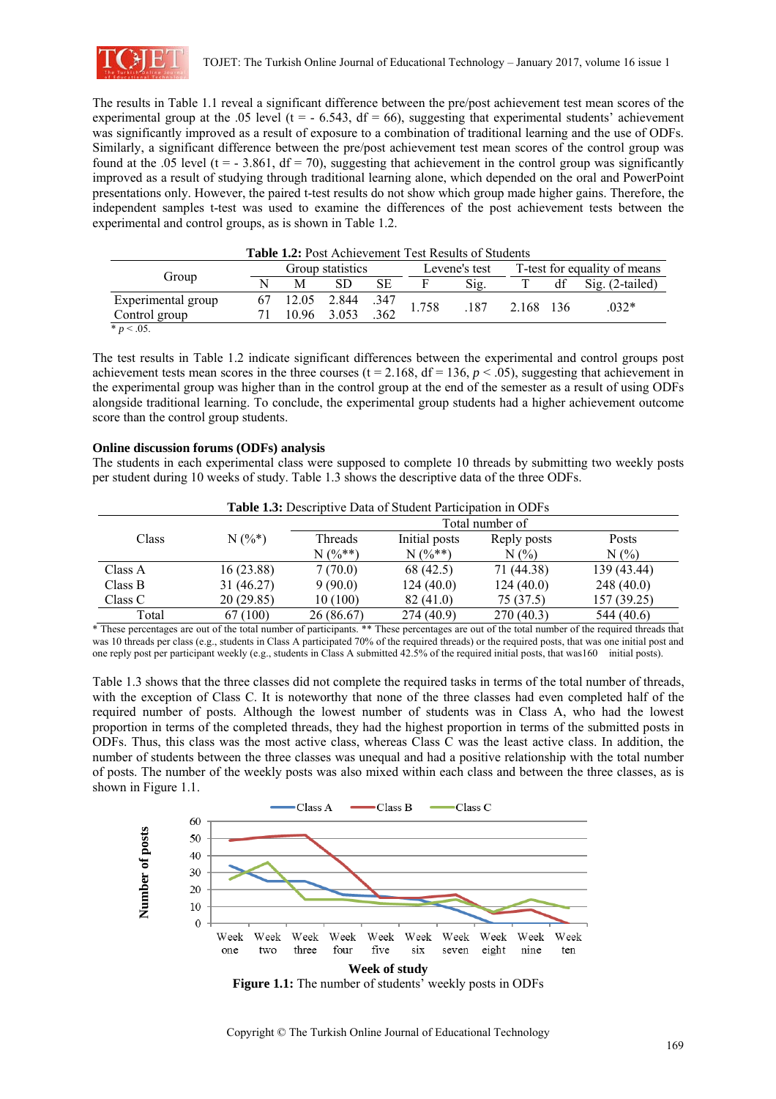

The results in Table 1.1 reveal a significant difference between the pre/post achievement test mean scores of the experimental group at the .05 level ( $t = -6.543$ ,  $df = 66$ ), suggesting that experimental students' achievement was significantly improved as a result of exposure to a combination of traditional learning and the use of ODFs. Similarly, a significant difference between the pre/post achievement test mean scores of the control group was found at the .05 level ( $t = -3.861$ ,  $df = 70$ ), suggesting that achievement in the control group was significantly improved as a result of studying through traditional learning alone, which depended on the oral and PowerPoint presentations only. However, the paired t-test results do not show which group made higher gains. Therefore, the independent samples t-test was used to examine the differences of the post achievement tests between the experimental and control groups, as is shown in Table 1.2.

| <b>Table 1.2:</b> FOSt Achievement Test Results of Students |   |                  |                  |     |               |      |                              |    |                   |  |
|-------------------------------------------------------------|---|------------------|------------------|-----|---------------|------|------------------------------|----|-------------------|--|
| Group                                                       |   | Group statistics |                  |     | Levene's test |      | T-test for equality of means |    |                   |  |
|                                                             | N | м                |                  |     |               | Sig. |                              | df | $Sig. (2-tailed)$ |  |
| Experimental group                                          |   |                  | 12.05 2.844 .347 |     | 1.758         | .187 | 2.168 136                    |    | $.032*$           |  |
| Control group                                               |   |                  | 10.96 3.053      | 362 |               |      |                              |    |                   |  |
| $* n < 05$                                                  |   |                  |                  |     |               |      |                              |    |                   |  |

# **Table 1.2:** Post Achievement Test Results of Students

\* *p* < .05.

The test results in Table 1.2 indicate significant differences between the experimental and control groups post achievement tests mean scores in the three courses (t = 2.168, df = 136,  $p < .05$ ), suggesting that achievement in the experimental group was higher than in the control group at the end of the semester as a result of using ODFs alongside traditional learning. To conclude, the experimental group students had a higher achievement outcome score than the control group students.

#### **Online discussion forums (ODFs) analysis**

The students in each experimental class were supposed to complete 10 threads by submitting two weekly posts per student during 10 weeks of study. Table 1.3 shows the descriptive data of the three ODFs.

| <b>Table 1.3:</b> Descriptive Data of Student Participation in ODFs |           |                 |               |             |             |  |  |  |  |
|---------------------------------------------------------------------|-----------|-----------------|---------------|-------------|-------------|--|--|--|--|
|                                                                     |           | Total number of |               |             |             |  |  |  |  |
| Class                                                               | $N(%^*)$  | Threads         | Initial posts | Reply posts | Posts       |  |  |  |  |
|                                                                     |           | $N(%^{**})$     | $N(%^{**})$   | $N(\%)$     | N(%         |  |  |  |  |
| Class A                                                             | 16(23.88) | 7(70.0)         | 68 (42.5)     | 71 (44.38)  | 139 (43.44) |  |  |  |  |
| Class B                                                             | 31(46.27) | 9(90.0)         | 124(40.0)     | 124(40.0)   | 248(40.0)   |  |  |  |  |
| Class C                                                             | 20(29.85) | 10(100)         | 82 (41.0)     | 75 (37.5)   | 157 (39.25) |  |  |  |  |
| Total                                                               | 67 (100)  | 26(86.67)       | 274(40.9)     | 270(40.3)   | 544 (40.6)  |  |  |  |  |

\* These percentages are out of the total number of participants. \*\* These percentages are out of the total number of the required threads that was 10 threads per class (e.g., students in Class A participated 70% of the required threads) or the required posts, that was one initial post and one reply post per participant weekly (e.g., students in Class A submitted 42.5% of the required initial posts, that was160 initial posts).

Table 1.3 shows that the three classes did not complete the required tasks in terms of the total number of threads, with the exception of Class C. It is noteworthy that none of the three classes had even completed half of the required number of posts. Although the lowest number of students was in Class A, who had the lowest proportion in terms of the completed threads, they had the highest proportion in terms of the submitted posts in ODFs. Thus, this class was the most active class, whereas Class C was the least active class. In addition, the number of students between the three classes was unequal and had a positive relationship with the total number of posts. The number of the weekly posts was also mixed within each class and between the three classes, as is shown in Figure 1.1.



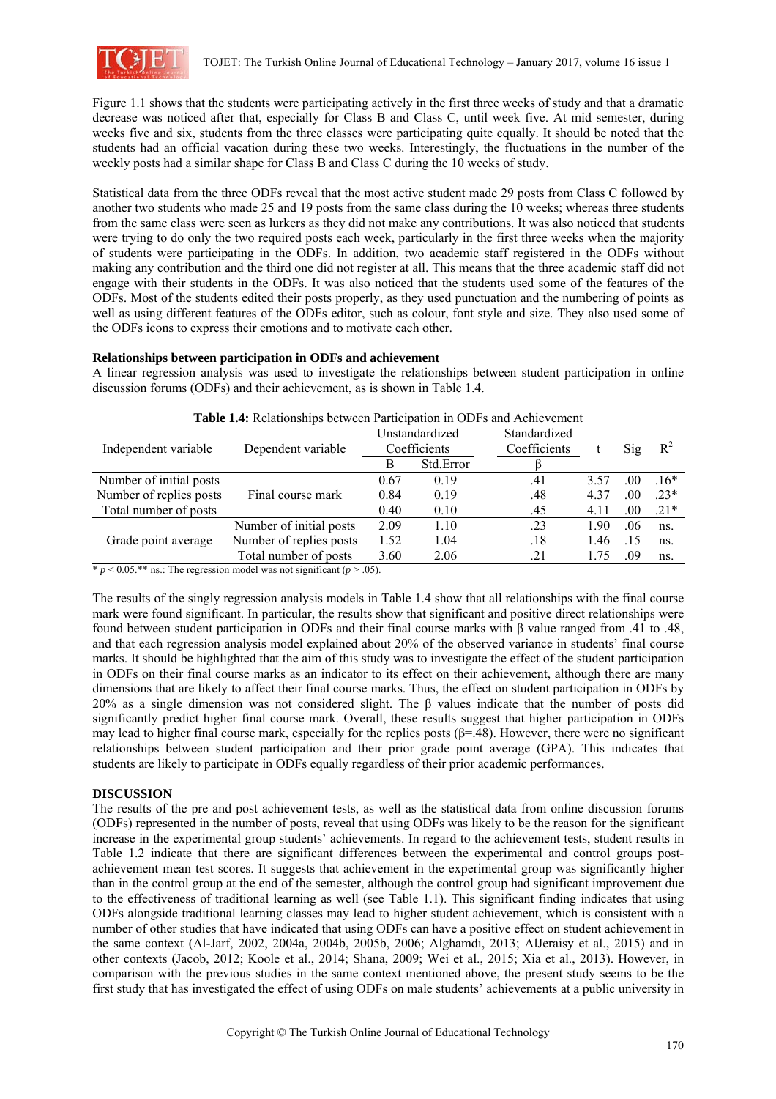

Figure 1.1 shows that the students were participating actively in the first three weeks of study and that a dramatic decrease was noticed after that, especially for Class B and Class C, until week five. At mid semester, during weeks five and six, students from the three classes were participating quite equally. It should be noted that the students had an official vacation during these two weeks. Interestingly, the fluctuations in the number of the weekly posts had a similar shape for Class B and Class C during the 10 weeks of study.

Statistical data from the three ODFs reveal that the most active student made 29 posts from Class C followed by another two students who made 25 and 19 posts from the same class during the 10 weeks; whereas three students from the same class were seen as lurkers as they did not make any contributions. It was also noticed that students were trying to do only the two required posts each week, particularly in the first three weeks when the majority of students were participating in the ODFs. In addition, two academic staff registered in the ODFs without making any contribution and the third one did not register at all. This means that the three academic staff did not engage with their students in the ODFs. It was also noticed that the students used some of the features of the ODFs. Most of the students edited their posts properly, as they used punctuation and the numbering of points as well as using different features of the ODFs editor, such as colour, font style and size. They also used some of the ODFs icons to express their emotions and to motivate each other.

#### **Relationships between participation in ODFs and achievement**

A linear regression analysis was used to investigate the relationships between student participation in online discussion forums (ODFs) and their achievement, as is shown in Table 1.4.

| <b>Table 1.4:</b> Relationships between Participation in ODFs and Achievement |                         |      |                |              |      |     |        |  |  |
|-------------------------------------------------------------------------------|-------------------------|------|----------------|--------------|------|-----|--------|--|--|
|                                                                               |                         |      | Unstandardized | Standardized |      |     |        |  |  |
| Independent variable                                                          | Dependent variable      |      | Coefficients   | Coefficients |      | Sig | $R^2$  |  |  |
|                                                                               |                         | B    | Std.Error      |              |      |     |        |  |  |
| Number of initial posts                                                       |                         | 0.67 | 0.19           | .41          | 3.57 | .00 | $16*$  |  |  |
| Number of replies posts                                                       | Final course mark       | 0.84 | 0.19           | .48          | 4.37 | .00 | $.23*$ |  |  |
| Total number of posts                                                         |                         | 0.40 | 0.10           | .45          | 4.11 | .00 | $.21*$ |  |  |
| Grade point average                                                           | Number of initial posts | 2.09 | 1.10           | .23          | 1.90 | .06 | ns.    |  |  |
|                                                                               | Number of replies posts | 1.52 | 1.04           | .18          | 1.46 | .15 | $ns$ . |  |  |
|                                                                               | Total number of posts   | 3.60 | 2.06           | .21          | 1.75 | .09 | ns.    |  |  |

**Table 1.4:** Relationships between Participation in ODFs and Achievement

 $\frac{\text{*} p \leq 0.05 \cdot \text{*}}{\text{ns}}$  ns.: The regression model was not significant ( $p > .05$ ).

The results of the singly regression analysis models in Table 1.4 show that all relationships with the final course mark were found significant. In particular, the results show that significant and positive direct relationships were found between student participation in ODFs and their final course marks with β value ranged from .41 to .48, and that each regression analysis model explained about 20% of the observed variance in students' final course marks. It should be highlighted that the aim of this study was to investigate the effect of the student participation in ODFs on their final course marks as an indicator to its effect on their achievement, although there are many dimensions that are likely to affect their final course marks. Thus, the effect on student participation in ODFs by 20% as a single dimension was not considered slight. The β values indicate that the number of posts did significantly predict higher final course mark. Overall, these results suggest that higher participation in ODFs may lead to higher final course mark, especially for the replies posts ( $\beta$ =.48). However, there were no significant relationships between student participation and their prior grade point average (GPA). This indicates that students are likely to participate in ODFs equally regardless of their prior academic performances.

## **DISCUSSION**

The results of the pre and post achievement tests, as well as the statistical data from online discussion forums (ODFs) represented in the number of posts, reveal that using ODFs was likely to be the reason for the significant increase in the experimental group students' achievements. In regard to the achievement tests, student results in Table 1.2 indicate that there are significant differences between the experimental and control groups postachievement mean test scores. It suggests that achievement in the experimental group was significantly higher than in the control group at the end of the semester, although the control group had significant improvement due to the effectiveness of traditional learning as well (see Table 1.1). This significant finding indicates that using ODFs alongside traditional learning classes may lead to higher student achievement, which is consistent with a number of other studies that have indicated that using ODFs can have a positive effect on student achievement in the same context (Al-Jarf, 2002, 2004a, 2004b, 2005b, 2006; Alghamdi, 2013; AlJeraisy et al., 2015) and in other contexts (Jacob, 2012; Koole et al., 2014; Shana, 2009; Wei et al., 2015; Xia et al., 2013). However, in comparison with the previous studies in the same context mentioned above, the present study seems to be the first study that has investigated the effect of using ODFs on male students' achievements at a public university in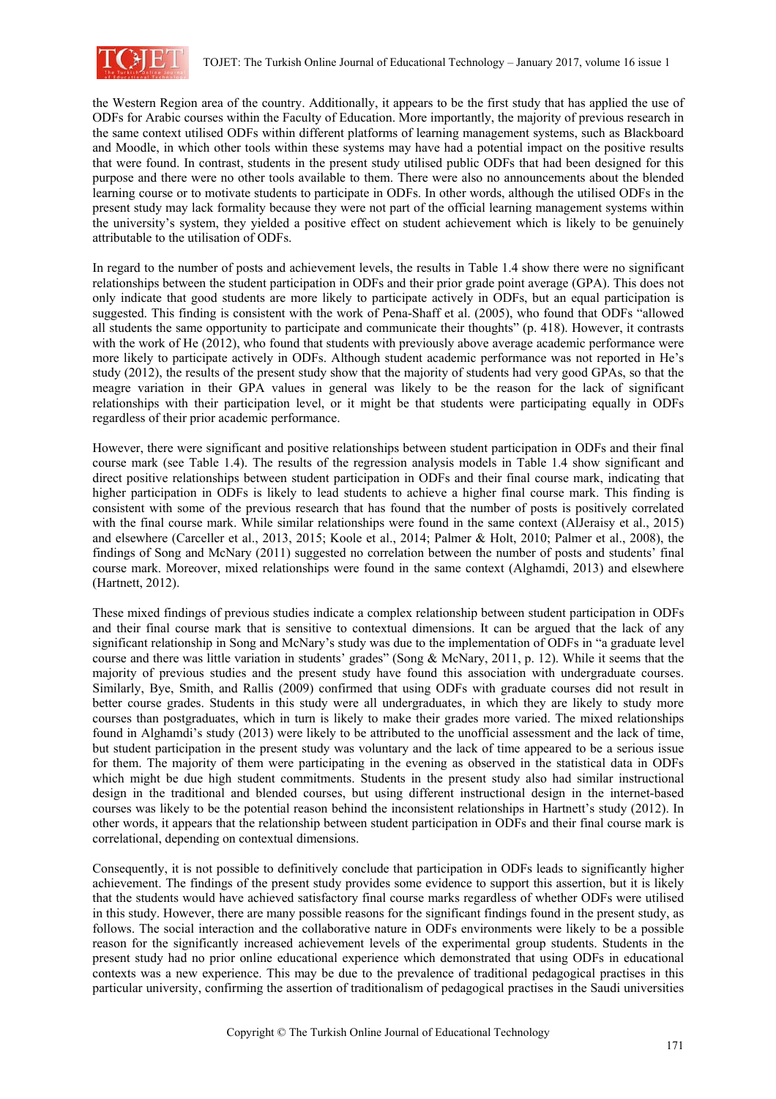

the Western Region area of the country. Additionally, it appears to be the first study that has applied the use of ODFs for Arabic courses within the Faculty of Education. More importantly, the majority of previous research in the same context utilised ODFs within different platforms of learning management systems, such as Blackboard and Moodle, in which other tools within these systems may have had a potential impact on the positive results that were found. In contrast, students in the present study utilised public ODFs that had been designed for this purpose and there were no other tools available to them. There were also no announcements about the blended learning course or to motivate students to participate in ODFs. In other words, although the utilised ODFs in the present study may lack formality because they were not part of the official learning management systems within the university's system, they yielded a positive effect on student achievement which is likely to be genuinely attributable to the utilisation of ODFs.

In regard to the number of posts and achievement levels, the results in Table 1.4 show there were no significant relationships between the student participation in ODFs and their prior grade point average (GPA). This does not only indicate that good students are more likely to participate actively in ODFs, but an equal participation is suggested. This finding is consistent with the work of Pena-Shaff et al. (2005), who found that ODFs "allowed all students the same opportunity to participate and communicate their thoughts" (p. 418). However, it contrasts with the work of He (2012), who found that students with previously above average academic performance were more likely to participate actively in ODFs. Although student academic performance was not reported in He's study (2012), the results of the present study show that the majority of students had very good GPAs, so that the meagre variation in their GPA values in general was likely to be the reason for the lack of significant relationships with their participation level, or it might be that students were participating equally in ODFs regardless of their prior academic performance.

However, there were significant and positive relationships between student participation in ODFs and their final course mark (see Table 1.4). The results of the regression analysis models in Table 1.4 show significant and direct positive relationships between student participation in ODFs and their final course mark, indicating that higher participation in ODFs is likely to lead students to achieve a higher final course mark. This finding is consistent with some of the previous research that has found that the number of posts is positively correlated with the final course mark. While similar relationships were found in the same context (AlJeraisy et al., 2015) and elsewhere (Carceller et al., 2013, 2015; Koole et al., 2014; Palmer & Holt, 2010; Palmer et al., 2008), the findings of Song and McNary (2011) suggested no correlation between the number of posts and students' final course mark. Moreover, mixed relationships were found in the same context (Alghamdi, 2013) and elsewhere (Hartnett, 2012).

These mixed findings of previous studies indicate a complex relationship between student participation in ODFs and their final course mark that is sensitive to contextual dimensions. It can be argued that the lack of any significant relationship in Song and McNary's study was due to the implementation of ODFs in "a graduate level course and there was little variation in students' grades" (Song & McNary, 2011, p. 12). While it seems that the majority of previous studies and the present study have found this association with undergraduate courses. Similarly, Bye, Smith, and Rallis (2009) confirmed that using ODFs with graduate courses did not result in better course grades. Students in this study were all undergraduates, in which they are likely to study more courses than postgraduates, which in turn is likely to make their grades more varied. The mixed relationships found in Alghamdi's study (2013) were likely to be attributed to the unofficial assessment and the lack of time, but student participation in the present study was voluntary and the lack of time appeared to be a serious issue for them. The majority of them were participating in the evening as observed in the statistical data in ODFs which might be due high student commitments. Students in the present study also had similar instructional design in the traditional and blended courses, but using different instructional design in the internet-based courses was likely to be the potential reason behind the inconsistent relationships in Hartnett's study (2012). In other words, it appears that the relationship between student participation in ODFs and their final course mark is correlational, depending on contextual dimensions.

Consequently, it is not possible to definitively conclude that participation in ODFs leads to significantly higher achievement. The findings of the present study provides some evidence to support this assertion, but it is likely that the students would have achieved satisfactory final course marks regardless of whether ODFs were utilised in this study. However, there are many possible reasons for the significant findings found in the present study, as follows. The social interaction and the collaborative nature in ODFs environments were likely to be a possible reason for the significantly increased achievement levels of the experimental group students. Students in the present study had no prior online educational experience which demonstrated that using ODFs in educational contexts was a new experience. This may be due to the prevalence of traditional pedagogical practises in this particular university, confirming the assertion of traditionalism of pedagogical practises in the Saudi universities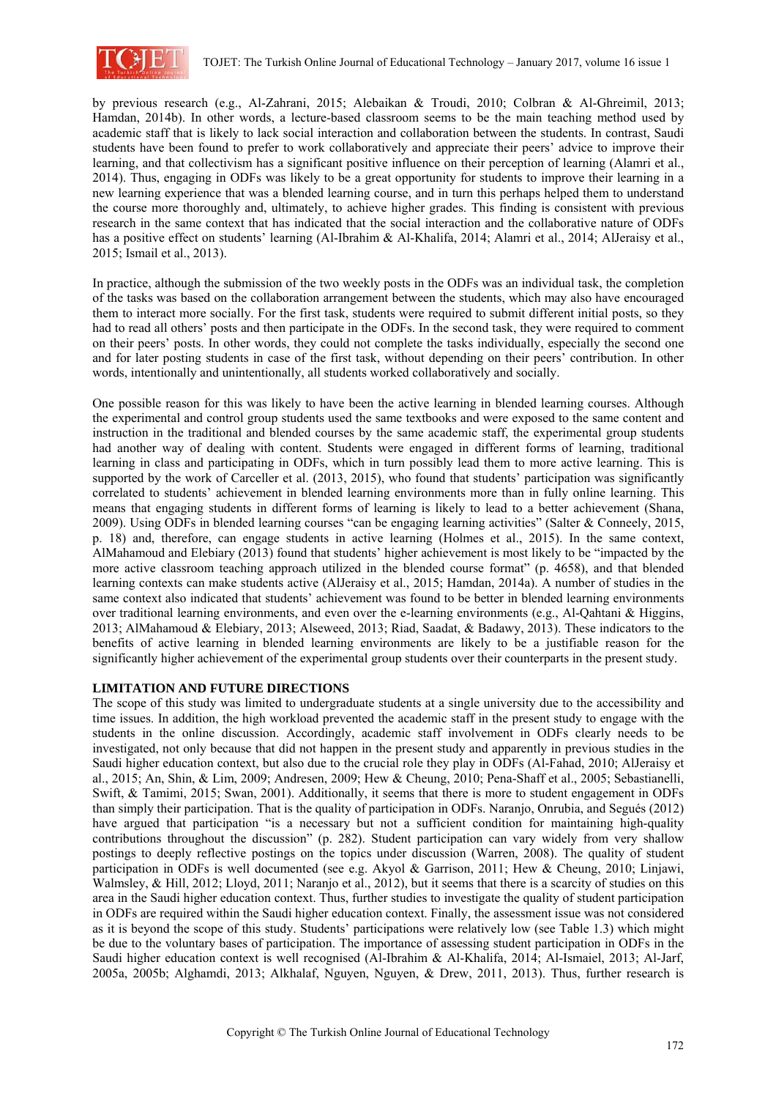

by previous research (e.g., Al-Zahrani, 2015; Alebaikan & Troudi, 2010; Colbran & Al-Ghreimil, 2013; Hamdan, 2014b). In other words, a lecture-based classroom seems to be the main teaching method used by academic staff that is likely to lack social interaction and collaboration between the students. In contrast, Saudi students have been found to prefer to work collaboratively and appreciate their peers' advice to improve their learning, and that collectivism has a significant positive influence on their perception of learning (Alamri et al., 2014). Thus, engaging in ODFs was likely to be a great opportunity for students to improve their learning in a new learning experience that was a blended learning course, and in turn this perhaps helped them to understand the course more thoroughly and, ultimately, to achieve higher grades. This finding is consistent with previous research in the same context that has indicated that the social interaction and the collaborative nature of ODFs has a positive effect on students' learning (Al-Ibrahim & Al-Khalifa, 2014; Alamri et al., 2014; AlJeraisy et al., 2015; Ismail et al., 2013).

In practice, although the submission of the two weekly posts in the ODFs was an individual task, the completion of the tasks was based on the collaboration arrangement between the students, which may also have encouraged them to interact more socially. For the first task, students were required to submit different initial posts, so they had to read all others' posts and then participate in the ODFs. In the second task, they were required to comment on their peers' posts. In other words, they could not complete the tasks individually, especially the second one and for later posting students in case of the first task, without depending on their peers' contribution. In other words, intentionally and unintentionally, all students worked collaboratively and socially.

One possible reason for this was likely to have been the active learning in blended learning courses. Although the experimental and control group students used the same textbooks and were exposed to the same content and instruction in the traditional and blended courses by the same academic staff, the experimental group students had another way of dealing with content. Students were engaged in different forms of learning, traditional learning in class and participating in ODFs, which in turn possibly lead them to more active learning. This is supported by the work of Carceller et al. (2013, 2015), who found that students' participation was significantly correlated to students' achievement in blended learning environments more than in fully online learning. This means that engaging students in different forms of learning is likely to lead to a better achievement (Shana, 2009). Using ODFs in blended learning courses "can be engaging learning activities" (Salter & Conneely, 2015, p. 18) and, therefore, can engage students in active learning (Holmes et al., 2015). In the same context, AlMahamoud and Elebiary (2013) found that students' higher achievement is most likely to be "impacted by the more active classroom teaching approach utilized in the blended course format" (p. 4658), and that blended learning contexts can make students active (AlJeraisy et al., 2015; Hamdan, 2014a). A number of studies in the same context also indicated that students' achievement was found to be better in blended learning environments over traditional learning environments, and even over the e-learning environments (e.g., Al-Qahtani & Higgins, 2013; AlMahamoud & Elebiary, 2013; Alseweed, 2013; Riad, Saadat, & Badawy, 2013). These indicators to the benefits of active learning in blended learning environments are likely to be a justifiable reason for the significantly higher achievement of the experimental group students over their counterparts in the present study.

## **LIMITATION AND FUTURE DIRECTIONS**

The scope of this study was limited to undergraduate students at a single university due to the accessibility and time issues. In addition, the high workload prevented the academic staff in the present study to engage with the students in the online discussion. Accordingly, academic staff involvement in ODFs clearly needs to be investigated, not only because that did not happen in the present study and apparently in previous studies in the Saudi higher education context, but also due to the crucial role they play in ODFs (Al-Fahad, 2010; AlJeraisy et al., 2015; An, Shin, & Lim, 2009; Andresen, 2009; Hew & Cheung, 2010; Pena-Shaff et al., 2005; Sebastianelli, Swift, & Tamimi, 2015; Swan, 2001). Additionally, it seems that there is more to student engagement in ODFs than simply their participation. That is the quality of participation in ODFs. Naranjo, Onrubia, and Segués (2012) have argued that participation "is a necessary but not a sufficient condition for maintaining high-quality contributions throughout the discussion" (p. 282). Student participation can vary widely from very shallow postings to deeply reflective postings on the topics under discussion (Warren, 2008). The quality of student participation in ODFs is well documented (see e.g. Akyol & Garrison, 2011; Hew & Cheung, 2010; Linjawi, Walmsley, & Hill, 2012; Lloyd, 2011; Naranjo et al., 2012), but it seems that there is a scarcity of studies on this area in the Saudi higher education context. Thus, further studies to investigate the quality of student participation in ODFs are required within the Saudi higher education context. Finally, the assessment issue was not considered as it is beyond the scope of this study. Students' participations were relatively low (see Table 1.3) which might be due to the voluntary bases of participation. The importance of assessing student participation in ODFs in the Saudi higher education context is well recognised (Al-Ibrahim & Al-Khalifa, 2014; Al-Ismaiel, 2013; Al-Jarf, 2005a, 2005b; Alghamdi, 2013; Alkhalaf, Nguyen, Nguyen, & Drew, 2011, 2013). Thus, further research is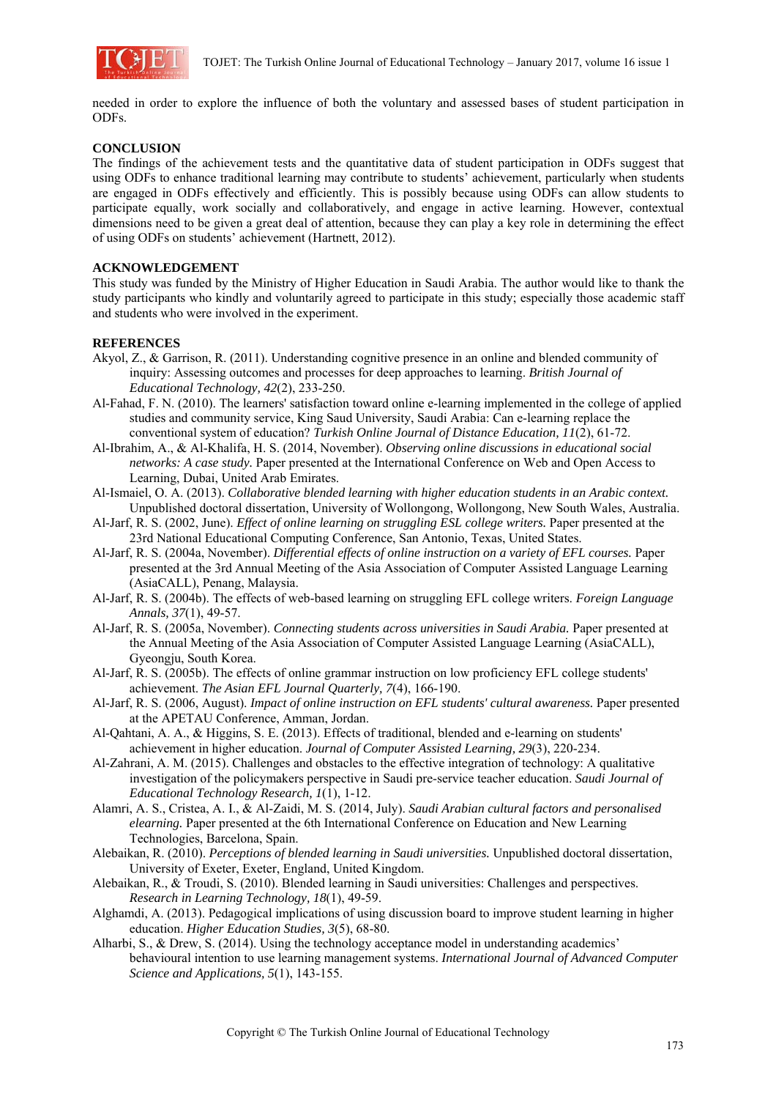

needed in order to explore the influence of both the voluntary and assessed bases of student participation in ODFs.

## **CONCLUSION**

The findings of the achievement tests and the quantitative data of student participation in ODFs suggest that using ODFs to enhance traditional learning may contribute to students' achievement, particularly when students are engaged in ODFs effectively and efficiently. This is possibly because using ODFs can allow students to participate equally, work socially and collaboratively, and engage in active learning. However, contextual dimensions need to be given a great deal of attention, because they can play a key role in determining the effect of using ODFs on students' achievement (Hartnett, 2012).

#### **ACKNOWLEDGEMENT**

This study was funded by the Ministry of Higher Education in Saudi Arabia. The author would like to thank the study participants who kindly and voluntarily agreed to participate in this study; especially those academic staff and students who were involved in the experiment.

## **REFERENCES**

- Akyol, Z., & Garrison, R. (2011). Understanding cognitive presence in an online and blended community of inquiry: Assessing outcomes and processes for deep approaches to learning. *British Journal of Educational Technology, 42*(2), 233-250.
- Al-Fahad, F. N. (2010). The learners' satisfaction toward online e-learning implemented in the college of applied studies and community service, King Saud University, Saudi Arabia: Can e-learning replace the conventional system of education? *Turkish Online Journal of Distance Education, 11*(2), 61-72.
- Al-Ibrahim, A., & Al-Khalifa, H. S. (2014, November). *Observing online discussions in educational social networks: A case study.* Paper presented at the International Conference on Web and Open Access to Learning, Dubai, United Arab Emirates.
- Al-Ismaiel, O. A. (2013). *Collaborative blended learning with higher education students in an Arabic context.* Unpublished doctoral dissertation, University of Wollongong, Wollongong, New South Wales, Australia.
- Al-Jarf, R. S. (2002, June). *Effect of online learning on struggling ESL college writers.* Paper presented at the 23rd National Educational Computing Conference, San Antonio, Texas, United States.
- Al-Jarf, R. S. (2004a, November). *Differential effects of online instruction on a variety of EFL courses.* Paper presented at the 3rd Annual Meeting of the Asia Association of Computer Assisted Language Learning (AsiaCALL), Penang, Malaysia.
- Al-Jarf, R. S. (2004b). The effects of web-based learning on struggling EFL college writers. *Foreign Language Annals, 37*(1), 49-57.
- Al-Jarf, R. S. (2005a, November). *Connecting students across universities in Saudi Arabia.* Paper presented at the Annual Meeting of the Asia Association of Computer Assisted Language Learning (AsiaCALL), Gyeongju, South Korea.
- Al-Jarf, R. S. (2005b). The effects of online grammar instruction on low proficiency EFL college students' achievement. *The Asian EFL Journal Quarterly, 7*(4), 166-190.
- Al-Jarf, R. S. (2006, August). *Impact of online instruction on EFL students' cultural awareness.* Paper presented at the APETAU Conference, Amman, Jordan.
- Al-Qahtani, A. A., & Higgins, S. E. (2013). Effects of traditional, blended and e-learning on students' achievement in higher education. *Journal of Computer Assisted Learning, 29*(3), 220-234.
- Al-Zahrani, A. M. (2015). Challenges and obstacles to the effective integration of technology: A qualitative investigation of the policymakers perspective in Saudi pre-service teacher education. *Saudi Journal of Educational Technology Research, 1*(1), 1-12.
- Alamri, A. S., Cristea, A. I., & Al-Zaidi, M. S. (2014, July). *Saudi Arabian cultural factors and personalised elearning.* Paper presented at the 6th International Conference on Education and New Learning Technologies, Barcelona, Spain.
- Alebaikan, R. (2010). *Perceptions of blended learning in Saudi universities.* Unpublished doctoral dissertation, University of Exeter, Exeter, England, United Kingdom.
- Alebaikan, R., & Troudi, S. (2010). Blended learning in Saudi universities: Challenges and perspectives. *Research in Learning Technology, 18*(1), 49-59.
- Alghamdi, A. (2013). Pedagogical implications of using discussion board to improve student learning in higher education. *Higher Education Studies, 3*(5), 68-80.
- Alharbi, S., & Drew, S. (2014). Using the technology acceptance model in understanding academics' behavioural intention to use learning management systems. *International Journal of Advanced Computer Science and Applications, 5*(1), 143-155.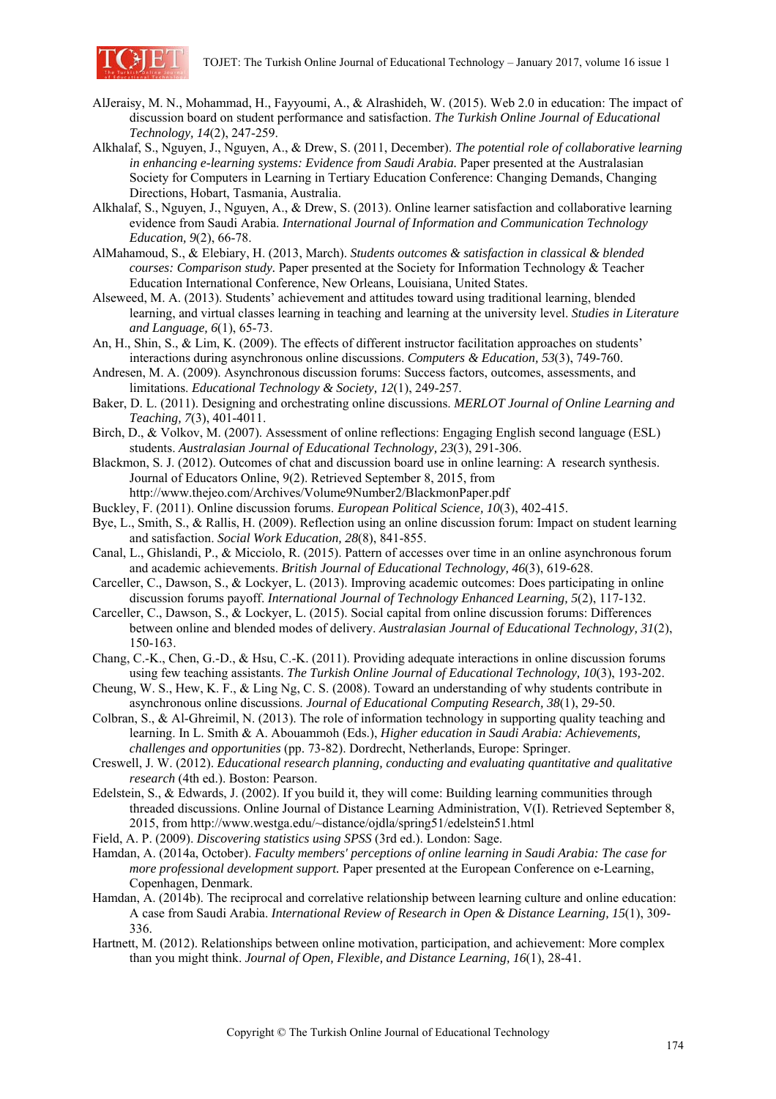

- AlJeraisy, M. N., Mohammad, H., Fayyoumi, A., & Alrashideh, W. (2015). Web 2.0 in education: The impact of discussion board on student performance and satisfaction. *The Turkish Online Journal of Educational Technology, 14*(2), 247-259.
- Alkhalaf, S., Nguyen, J., Nguyen, A., & Drew, S. (2011, December). *The potential role of collaborative learning in enhancing e-learning systems: Evidence from Saudi Arabia.* Paper presented at the Australasian Society for Computers in Learning in Tertiary Education Conference: Changing Demands, Changing Directions, Hobart, Tasmania, Australia.
- Alkhalaf, S., Nguyen, J., Nguyen, A., & Drew, S. (2013). Online learner satisfaction and collaborative learning evidence from Saudi Arabia. *International Journal of Information and Communication Technology Education, 9*(2), 66-78.
- AlMahamoud, S., & Elebiary, H. (2013, March). *Students outcomes & satisfaction in classical & blended courses: Comparison study.* Paper presented at the Society for Information Technology & Teacher Education International Conference, New Orleans, Louisiana, United States.
- Alseweed, M. A. (2013). Students' achievement and attitudes toward using traditional learning, blended learning, and virtual classes learning in teaching and learning at the university level. *Studies in Literature and Language, 6*(1), 65-73.
- An, H., Shin, S., & Lim, K. (2009). The effects of different instructor facilitation approaches on students' interactions during asynchronous online discussions. *Computers & Education, 53*(3), 749-760.
- Andresen, M. A. (2009). Asynchronous discussion forums: Success factors, outcomes, assessments, and limitations. *Educational Technology & Society, 12*(1), 249-257.
- Baker, D. L. (2011). Designing and orchestrating online discussions. *MERLOT Journal of Online Learning and Teaching, 7*(3), 401-4011.
- Birch, D., & Volkov, M. (2007). Assessment of online reflections: Engaging English second language (ESL) students. *Australasian Journal of Educational Technology, 23*(3), 291-306.
- Blackmon, S. J. (2012). Outcomes of chat and discussion board use in online learning: A research synthesis. Journal of Educators Online, 9(2). Retrieved September 8, 2015, from http://www.thejeo.com/Archives/Volume9Number2/BlackmonPaper.pdf
- Buckley, F. (2011). Online discussion forums. *European Political Science, 10*(3), 402-415.
- Bye, L., Smith, S., & Rallis, H. (2009). Reflection using an online discussion forum: Impact on student learning and satisfaction. *Social Work Education, 28*(8), 841-855.
- Canal, L., Ghislandi, P., & Micciolo, R. (2015). Pattern of accesses over time in an online asynchronous forum and academic achievements. *British Journal of Educational Technology, 46*(3), 619-628.
- Carceller, C., Dawson, S., & Lockyer, L. (2013). Improving academic outcomes: Does participating in online discussion forums payoff. *International Journal of Technology Enhanced Learning, 5*(2), 117-132.
- Carceller, C., Dawson, S., & Lockyer, L. (2015). Social capital from online discussion forums: Differences between online and blended modes of delivery. *Australasian Journal of Educational Technology, 31*(2), 150-163.
- Chang, C.-K., Chen, G.-D., & Hsu, C.-K. (2011). Providing adequate interactions in online discussion forums using few teaching assistants. *The Turkish Online Journal of Educational Technology, 10*(3), 193-202.
- Cheung, W. S., Hew, K. F., & Ling Ng, C. S. (2008). Toward an understanding of why students contribute in asynchronous online discussions. *Journal of Educational Computing Research, 38*(1), 29-50.
- Colbran, S., & Al-Ghreimil, N. (2013). The role of information technology in supporting quality teaching and learning. In L. Smith & A. Abouammoh (Eds.), *Higher education in Saudi Arabia: Achievements, challenges and opportunities* (pp. 73-82). Dordrecht, Netherlands, Europe: Springer.
- Creswell, J. W. (2012). *Educational research planning, conducting and evaluating quantitative and qualitative research* (4th ed.). Boston: Pearson.
- Edelstein, S., & Edwards, J. (2002). If you build it, they will come: Building learning communities through threaded discussions. Online Journal of Distance Learning Administration, V(I). Retrieved September 8, 2015, from http://www.westga.edu/~distance/ojdla/spring51/edelstein51.html
- Field, A. P. (2009). *Discovering statistics using SPSS* (3rd ed.). London: Sage.
- Hamdan, A. (2014a, October). *Faculty members' perceptions of online learning in Saudi Arabia: The case for more professional development support.* Paper presented at the European Conference on e-Learning, Copenhagen, Denmark.
- Hamdan, A. (2014b). The reciprocal and correlative relationship between learning culture and online education: A case from Saudi Arabia. *International Review of Research in Open & Distance Learning, 15*(1), 309- 336.
- Hartnett, M. (2012). Relationships between online motivation, participation, and achievement: More complex than you might think. *Journal of Open, Flexible, and Distance Learning, 16*(1), 28-41.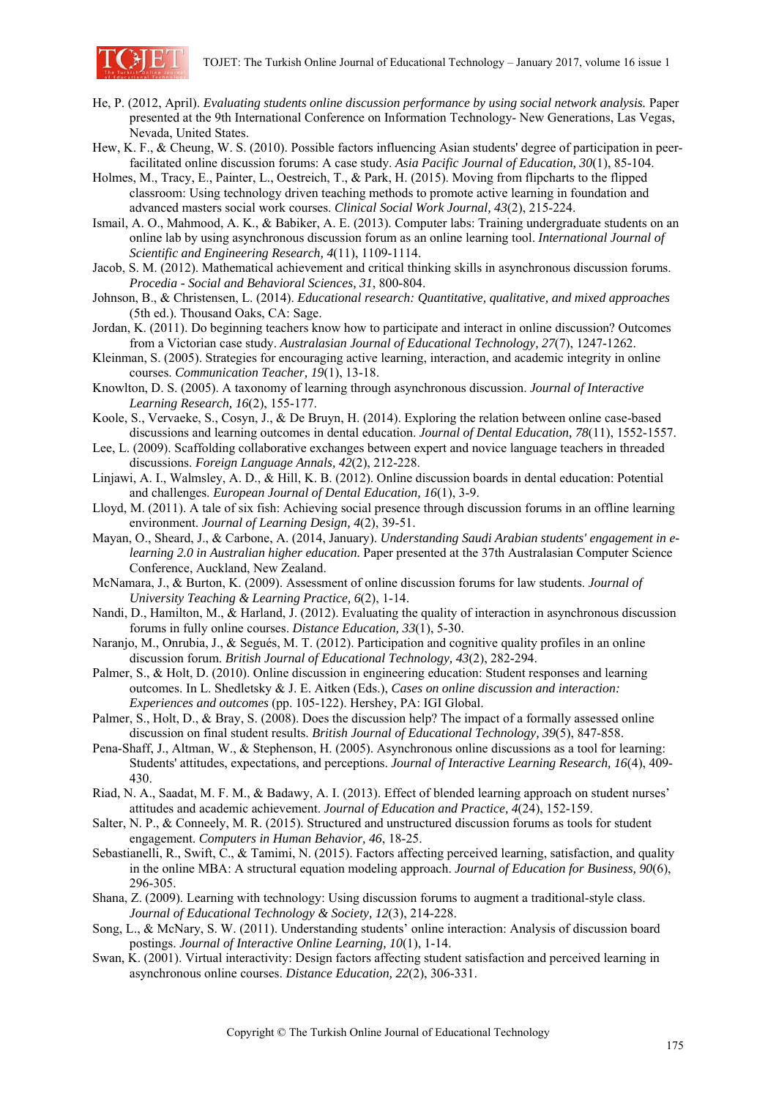

- He, P. (2012, April). *Evaluating students online discussion performance by using social network analysis.* Paper presented at the 9th International Conference on Information Technology- New Generations, Las Vegas, Nevada, United States.
- Hew, K. F., & Cheung, W. S. (2010). Possible factors influencing Asian students' degree of participation in peerfacilitated online discussion forums: A case study. *Asia Pacific Journal of Education, 30*(1), 85-104.
- Holmes, M., Tracy, E., Painter, L., Oestreich, T., & Park, H. (2015). Moving from flipcharts to the flipped classroom: Using technology driven teaching methods to promote active learning in foundation and advanced masters social work courses. *Clinical Social Work Journal, 43*(2), 215-224.
- Ismail, A. O., Mahmood, A. K., & Babiker, A. E. (2013). Computer labs: Training undergraduate students on an online lab by using asynchronous discussion forum as an online learning tool. *International Journal of Scientific and Engineering Research, 4*(11), 1109-1114.
- Jacob, S. M. (2012). Mathematical achievement and critical thinking skills in asynchronous discussion forums. *Procedia - Social and Behavioral Sciences, 31*, 800-804.
- Johnson, B., & Christensen, L. (2014). *Educational research: Quantitative, qualitative, and mixed approaches* (5th ed.). Thousand Oaks, CA: Sage.
- Jordan, K. (2011). Do beginning teachers know how to participate and interact in online discussion? Outcomes from a Victorian case study. *Australasian Journal of Educational Technology, 27*(7), 1247-1262.
- Kleinman, S. (2005). Strategies for encouraging active learning, interaction, and academic integrity in online courses. *Communication Teacher, 19*(1), 13-18.
- Knowlton, D. S. (2005). A taxonomy of learning through asynchronous discussion. *Journal of Interactive Learning Research, 16*(2), 155-177.
- Koole, S., Vervaeke, S., Cosyn, J., & De Bruyn, H. (2014). Exploring the relation between online case-based discussions and learning outcomes in dental education. *Journal of Dental Education, 78*(11), 1552-1557.
- Lee, L. (2009). Scaffolding collaborative exchanges between expert and novice language teachers in threaded discussions. *Foreign Language Annals, 42*(2), 212-228.
- Linjawi, A. I., Walmsley, A. D., & Hill, K. B. (2012). Online discussion boards in dental education: Potential and challenges. *European Journal of Dental Education, 16*(1), 3-9.
- Lloyd, M. (2011). A tale of six fish: Achieving social presence through discussion forums in an offline learning environment. *Journal of Learning Design, 4*(2), 39-51.
- Mayan, O., Sheard, J., & Carbone, A. (2014, January). *Understanding Saudi Arabian students' engagement in elearning 2.0 in Australian higher education.* Paper presented at the 37th Australasian Computer Science Conference, Auckland, New Zealand.
- McNamara, J., & Burton, K. (2009). Assessment of online discussion forums for law students. *Journal of University Teaching & Learning Practice, 6*(2), 1-14.
- Nandi, D., Hamilton, M., & Harland, J. (2012). Evaluating the quality of interaction in asynchronous discussion forums in fully online courses. *Distance Education, 33*(1), 5-30.
- Naranjo, M., Onrubia, J., & Segués, M. T. (2012). Participation and cognitive quality profiles in an online discussion forum. *British Journal of Educational Technology, 43*(2), 282-294.
- Palmer, S., & Holt, D. (2010). Online discussion in engineering education: Student responses and learning outcomes. In L. Shedletsky & J. E. Aitken (Eds.), *Cases on online discussion and interaction: Experiences and outcomes* (pp. 105-122). Hershey, PA: IGI Global.
- Palmer, S., Holt, D., & Bray, S. (2008). Does the discussion help? The impact of a formally assessed online discussion on final student results. *British Journal of Educational Technology, 39*(5), 847-858.
- Pena-Shaff, J., Altman, W., & Stephenson, H. (2005). Asynchronous online discussions as a tool for learning: Students' attitudes, expectations, and perceptions. *Journal of Interactive Learning Research, 16*(4), 409- 430.
- Riad, N. A., Saadat, M. F. M., & Badawy, A. I. (2013). Effect of blended learning approach on student nurses' attitudes and academic achievement. *Journal of Education and Practice, 4*(24), 152-159.
- Salter, N. P., & Conneely, M. R. (2015). Structured and unstructured discussion forums as tools for student engagement. *Computers in Human Behavior, 46*, 18-25.
- Sebastianelli, R., Swift, C., & Tamimi, N. (2015). Factors affecting perceived learning, satisfaction, and quality in the online MBA: A structural equation modeling approach. *Journal of Education for Business, 90*(6), 296-305.
- Shana, Z. (2009). Learning with technology: Using discussion forums to augment a traditional-style class. *Journal of Educational Technology & Society, 12*(3), 214-228.
- Song, L., & McNary, S. W. (2011). Understanding students' online interaction: Analysis of discussion board postings. *Journal of Interactive Online Learning, 10*(1), 1-14.
- Swan, K. (2001). Virtual interactivity: Design factors affecting student satisfaction and perceived learning in asynchronous online courses. *Distance Education, 22*(2), 306-331.